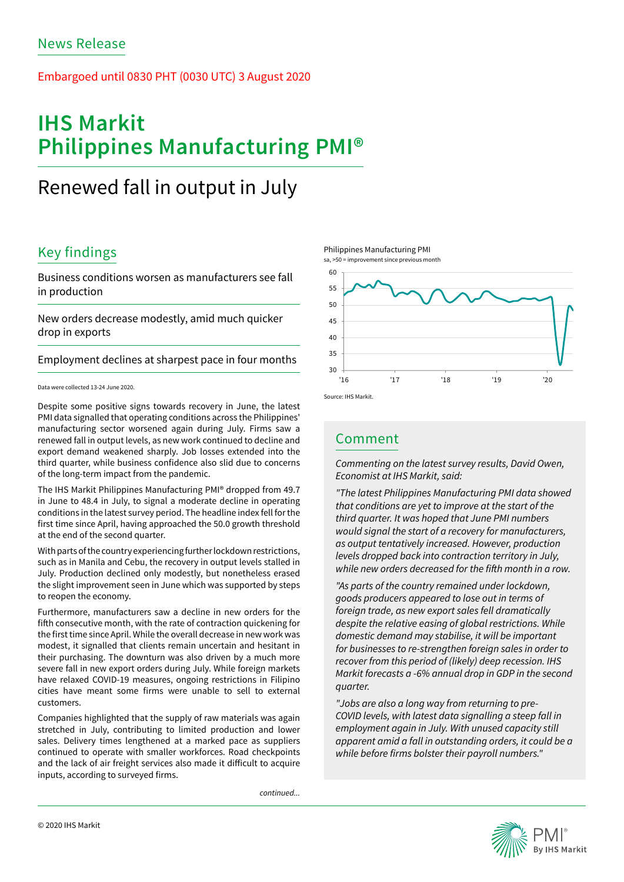## Embargoed until 0830 PHT (0030 UTC) 3 August 2020

# **IHS Markit Philippines Manufacturing PMI®**

## Renewed fall in output in July

## Key findings

Business conditions worsen as manufacturers see fall in production

New orders decrease modestly, amid much quicker drop in exports

Employment declines at sharpest pace in four months

### Data were collected 13-24 June 2020.

Despite some positive signs towards recovery in June, the latest PMI data signalled that operating conditions across the Philippines' manufacturing sector worsened again during July. Firms saw a renewed fall in output levels, as new work continued to decline and export demand weakened sharply. Job losses extended into the third quarter, while business confidence also slid due to concerns of the long-term impact from the pandemic.

The IHS Markit Philippines Manufacturing PMI® dropped from 49.7 in June to 48.4 in July, to signal a moderate decline in operating conditions in the latest survey period. The headline index fell for the first time since April, having approached the 50.0 growth threshold at the end of the second quarter.

With parts of the country experiencing further lockdown restrictions, such as in Manila and Cebu, the recovery in output levels stalled in July. Production declined only modestly, but nonetheless erased the slight improvement seen in June which was supported by steps to reopen the economy.

Furthermore, manufacturers saw a decline in new orders for the fifth consecutive month, with the rate of contraction quickening for the first time since April. While the overall decrease in new work was modest, it signalled that clients remain uncertain and hesitant in their purchasing. The downturn was also driven by a much more severe fall in new export orders during July. While foreign markets have relaxed COVID-19 measures, ongoing restrictions in Filipino cities have meant some firms were unable to sell to external customers.

Companies highlighted that the supply of raw materials was again stretched in July, contributing to limited production and lower sales. Delivery times lengthened at a marked pace as suppliers continued to operate with smaller workforces. Road checkpoints and the lack of air freight services also made it difficult to acquire inputs, according to surveyed firms.

*continued...*







## Comment

*Commenting on the latest survey results, David Owen, Economist at IHS Markit, said:* 

*"The latest Philippines Manufacturing PMI data showed that conditions are yet to improve at the start of the third quarter. It was hoped that June PMI numbers would signal the start of a recovery for manufacturers, as output tentatively increased. However, production levels dropped back into contraction territory in July,*  while new orders decreased for the fifth month in a row.

*"As parts of the country remained under lockdown, goods producers appeared to lose out in terms of foreign trade, as new export sales fell dramatically despite the relative easing of global restrictions. While domestic demand may stabilise, it will be important for businesses to re-strengthen foreign sales in order to recover from this period of (likely) deep recession. IHS Markit forecasts a -6% annual drop in GDP in the second quarter.* 

*"Jobs are also a long way from returning to pre-COVID levels, with latest data signalling a steep fall in employment again in July. With unused capacity still apparent amid a fall in outstanding orders, it could be a*  while before firms bolster their payroll numbers."